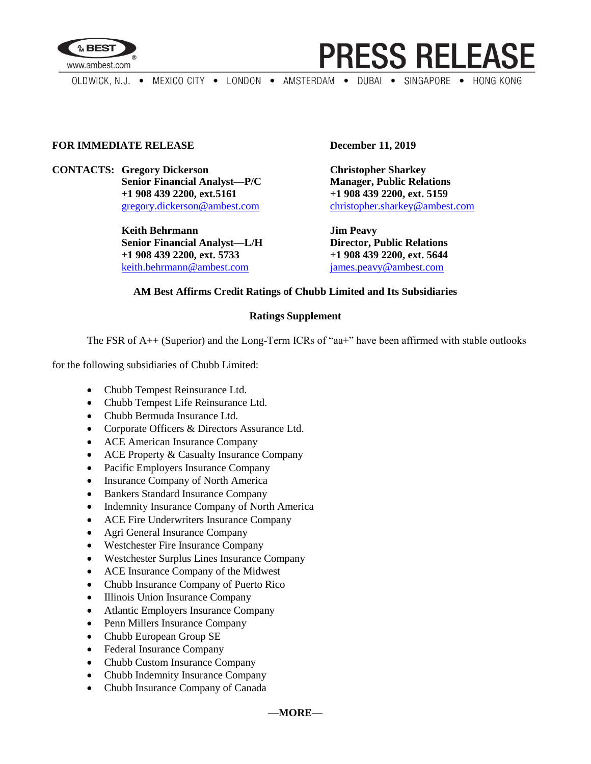



OLDWICK, N.J. . MEXICO CITY . LONDON . AMSTERDAM . DUBAI . SINGAPORE . HONG KONG

#### **FOR IMMEDIATE RELEASE December 11, 2019**

**CONTACTS: Gregory Dickerson Christopher Sharkey Senior Financial Analyst—P/C Manager, Public Relations +1 908 439 2200, ext.5161 +1 908 439 2200, ext. 5159**

> **Keith Behrmann Jim Peavy Senior Financial Analyst—L/H Director, Public Relations +1 908 439 2200, ext. 5733 +1 908 439 2200, ext. 5644** [keith.behrmann@ambest.com](mailto:keith.behrmann@ambest.com) [james.peavy@ambest.com](mailto:james.peavy@ambest.com)

[gregory.dickerson@ambest.com](mailto:gregory.dickerson@ambest.com) [christopher.sharkey@ambest.com](mailto:christopher.sharkey@ambest.com)

### **AM Best Affirms Credit Ratings of Chubb Limited and Its Subsidiaries**

#### **Ratings Supplement**

The FSR of A++ (Superior) and the Long-Term ICRs of "aa+" have been affirmed with stable outlooks

for the following subsidiaries of Chubb Limited:

- Chubb Tempest Reinsurance Ltd.
- Chubb Tempest Life Reinsurance Ltd.
- Chubb Bermuda Insurance Ltd.
- Corporate Officers & Directors Assurance Ltd.
- ACE American Insurance Company
- ACE Property & Casualty Insurance Company
- Pacific Employers Insurance Company
- Insurance Company of North America
- Bankers Standard Insurance Company
- Indemnity Insurance Company of North America
- ACE Fire Underwriters Insurance Company
- Agri General Insurance Company
- Westchester Fire Insurance Company
- Westchester Surplus Lines Insurance Company
- ACE Insurance Company of the Midwest
- Chubb Insurance Company of Puerto Rico
- Illinois Union Insurance Company
- Atlantic Employers Insurance Company
- Penn Millers Insurance Company
- Chubb European Group SE
- Federal Insurance Company
- Chubb Custom Insurance Company
- Chubb Indemnity Insurance Company
- Chubb Insurance Company of Canada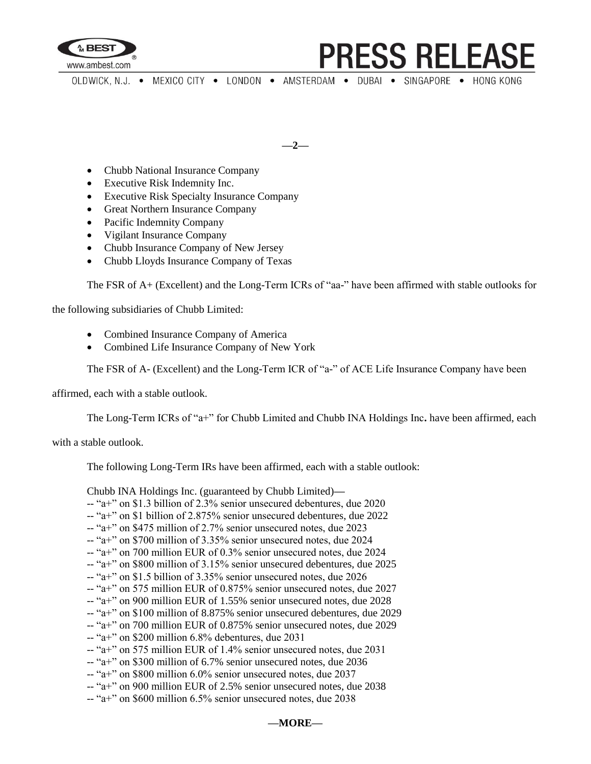

# **PRESS RELEASE**

OLDWICK, N.J. . MEXICO CITY . LONDON . AMSTERDAM . DUBAI . SINGAPORE . HONG KONG

**—2—**

- Chubb National Insurance Company
- Executive Risk Indemnity Inc.
- Executive Risk Specialty Insurance Company
- Great Northern Insurance Company
- Pacific Indemnity Company
- Vigilant Insurance Company
- Chubb Insurance Company of New Jersey
- Chubb Lloyds Insurance Company of Texas

The FSR of A+ (Excellent) and the Long-Term ICRs of "aa-" have been affirmed with stable outlooks for

the following subsidiaries of Chubb Limited:

- Combined Insurance Company of America
- Combined Life Insurance Company of New York

The FSR of A- (Excellent) and the Long-Term ICR of "a-" of ACE Life Insurance Company have been

affirmed, each with a stable outlook.

The Long-Term ICRs of "a+" for Chubb Limited and Chubb INA Holdings Inc**.** have been affirmed, each

with a stable outlook.

The following Long-Term IRs have been affirmed, each with a stable outlook:

Chubb INA Holdings Inc. (guaranteed by Chubb Limited)**—**

- -- "a+" on \$1.3 billion of 2.3% senior unsecured debentures, due 2020
- -- "a+" on \$1 billion of 2.875% senior unsecured debentures, due 2022
- -- "a+" on \$475 million of 2.7% senior unsecured notes, due 2023
- -- "a+" on \$700 million of 3.35% senior unsecured notes, due 2024
- -- "a+" on 700 million EUR of 0.3% senior unsecured notes, due 2024
- -- "a+" on \$800 million of 3.15% senior unsecured debentures, due 2025
- -- "a+" on \$1.5 billion of 3.35% senior unsecured notes, due 2026
- -- "a+" on 575 million EUR of 0.875% senior unsecured notes, due 2027
- -- "a+" on 900 million EUR of 1.55% senior unsecured notes, due 2028
- -- "a+" on \$100 million of 8.875% senior unsecured debentures, due 2029
- -- "a+" on 700 million EUR of 0.875% senior unsecured notes, due 2029
- -- "a+" on \$200 million 6.8% debentures, due 2031
- -- "a+" on 575 million EUR of 1.4% senior unsecured notes, due 2031
- -- "a+" on \$300 million of 6.7% senior unsecured notes, due 2036
- -- "a+" on \$800 million 6.0% senior unsecured notes, due 2037
- -- "a+" on 900 million EUR of 2.5% senior unsecured notes, due 2038
- -- "a+" on \$600 million 6.5% senior unsecured notes, due 2038